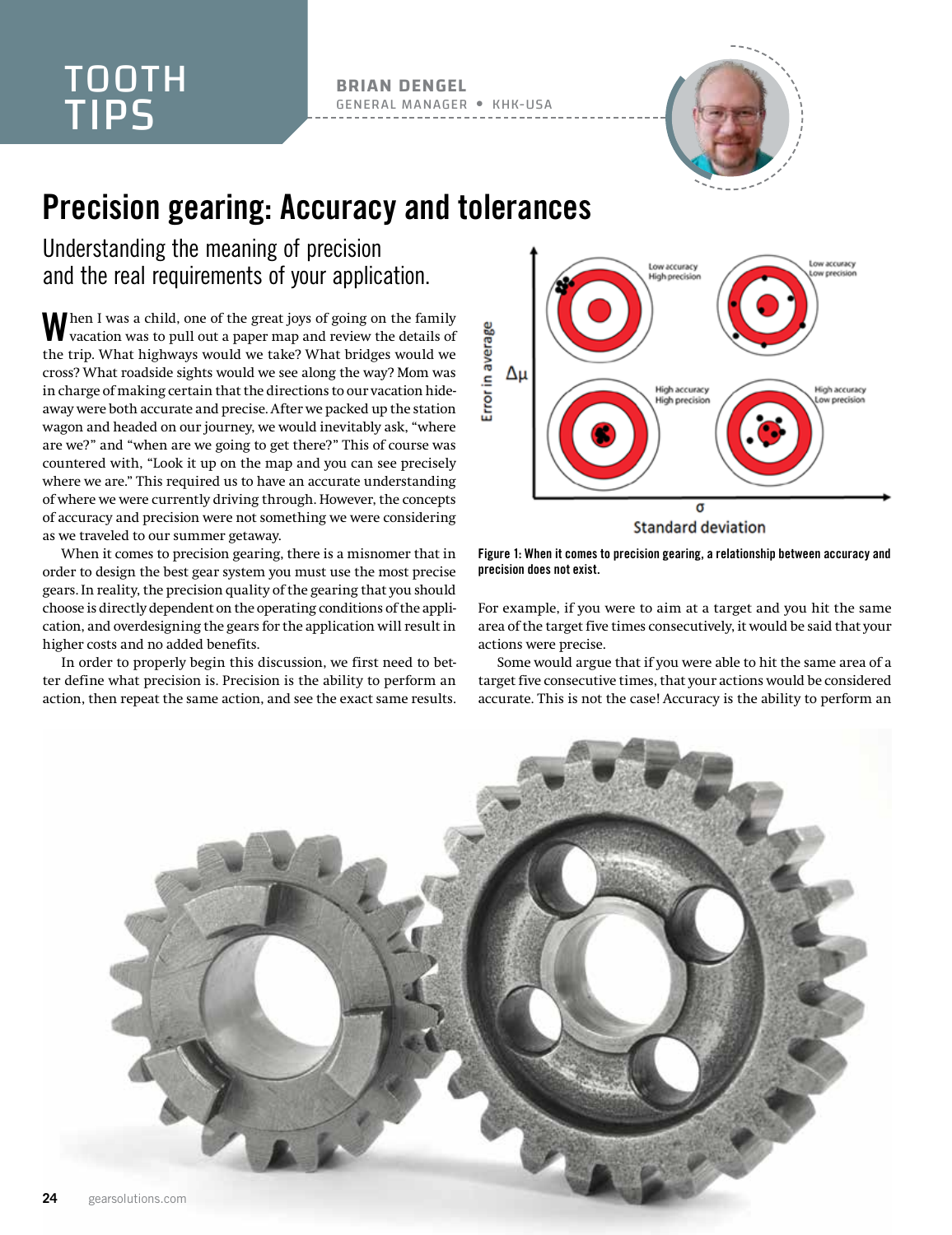## TOOTH TIPS

**BRIAN DENGEL** GENERAL MANAGER KHK-USA



## Precision gearing: Accuracy and tolerances

Understanding the meaning of precision and the real requirements of your application.

When I was a child, one of the great joys of going on the family<br>V vacation was to pull out a paper map and review the details of the trip. What highways would we take? What bridges would we cross? What roadside sights would we see along the way? Mom was in charge of making certain that the directions to our vacation hideaway were both accurate and precise. After we packed up the station wagon and headed on our journey, we would inevitably ask, "where are we?" and "when are we going to get there?" This of course was countered with, "Look it up on the map and you can see precisely where we are." This required us to have an accurate understanding of where we were currently driving through. However, the concepts of accuracy and precision were not something we were considering as we traveled to our summer getaway.

When it comes to precision gearing, there is a misnomer that in order to design the best gear system you must use the most precise gears. In reality, the precision quality of the gearing that you should choose is directly dependent on the operating conditions of the application, and overdesigning the gears for the application will result in higher costs and no added benefits.

In order to properly begin this discussion, we first need to better define what precision is. Precision is the ability to perform an action, then repeat the same action, and see the exact same results.



**Standard deviation** 



For example, if you were to aim at a target and you hit the same area of the target five times consecutively, it would be said that your actions were precise.

Some would argue that if you were able to hit the same area of a target five consecutive times, that your actions would be considered accurate. This is not the case! Accuracy is the ability to perform an